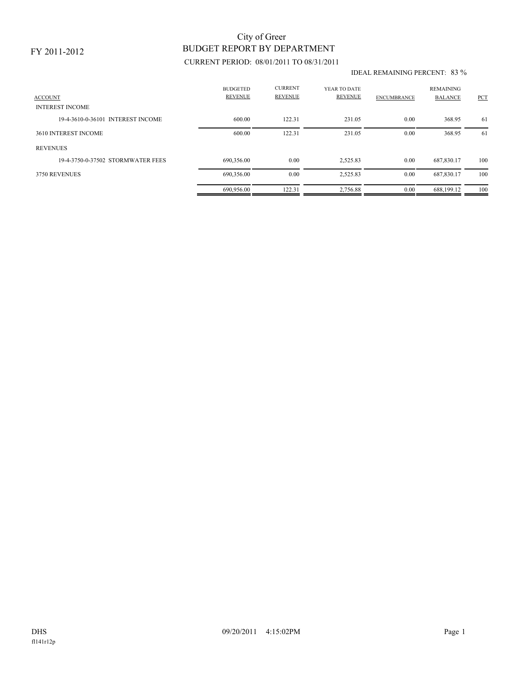### FY 2011-2012

# BUDGET REPORT BY DEPARTMENT City of Greer

## CURRENT PERIOD: 08/01/2011 TO 08/31/2011

#### IDEAL REMAINING PERCENT: 83 %

| <b>ACCOUNT</b>                    | <b>BUDGETED</b><br><b>REVENUE</b> | <b>CURRENT</b><br><b>REVENUE</b> | YEAR TO DATE<br>REVENUE | <b>ENCUMBRANCE</b> | <b>REMAINING</b><br><b>BALANCE</b> | PCT |
|-----------------------------------|-----------------------------------|----------------------------------|-------------------------|--------------------|------------------------------------|-----|
| <b>INTEREST INCOME</b>            |                                   |                                  |                         |                    |                                    |     |
| 19-4-3610-0-36101 INTEREST INCOME | 600.00                            | 122.31                           | 231.05                  | 0.00               | 368.95                             | 61  |
| 3610 INTEREST INCOME              | 600.00                            | 122.31                           | 231.05                  | 0.00               | 368.95                             | -61 |
| <b>REVENUES</b>                   |                                   |                                  |                         |                    |                                    |     |
| 19-4-3750-0-37502 STORMWATER FEES | 690,356.00                        | 0.00                             | 2,525.83                | 0.00               | 687.830.17                         | 100 |
| 3750 REVENUES                     | 690,356.00                        | 0.00                             | 2,525.83                | 0.00               | 687,830.17                         | 100 |
|                                   | 690.956.00                        | 122.31                           | 2,756.88                | 0.00               | 688.199.12                         | 100 |